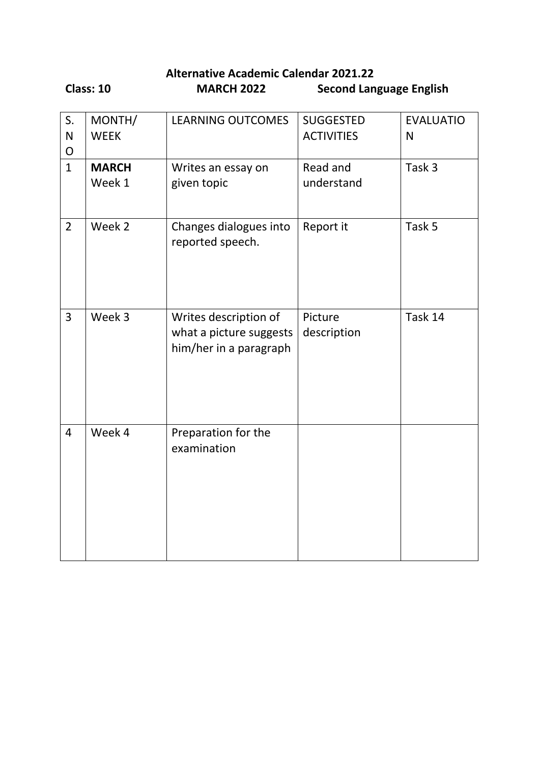**Alternative Academic Calendar 2021.22 Class: 10 MARCH 2022 Second Language English**

| S.<br>$\mathsf{N}$<br>$\mathsf{O}$ | MONTH/<br><b>WEEK</b>  | <b>LEARNING OUTCOMES</b>                                                   | <b>SUGGESTED</b><br><b>ACTIVITIES</b> | <b>EVALUATIO</b><br>$\mathsf{N}$ |
|------------------------------------|------------------------|----------------------------------------------------------------------------|---------------------------------------|----------------------------------|
| $\mathbf{1}$                       | <b>MARCH</b><br>Week 1 | Writes an essay on<br>given topic                                          | Read and<br>understand                | Task 3                           |
| $\overline{2}$                     | Week 2                 | Changes dialogues into<br>reported speech.                                 | Report it                             | Task 5                           |
| $\overline{3}$                     | Week 3                 | Writes description of<br>what a picture suggests<br>him/her in a paragraph | Picture<br>description                | Task 14                          |
| $\overline{4}$                     | Week 4                 | Preparation for the<br>examination                                         |                                       |                                  |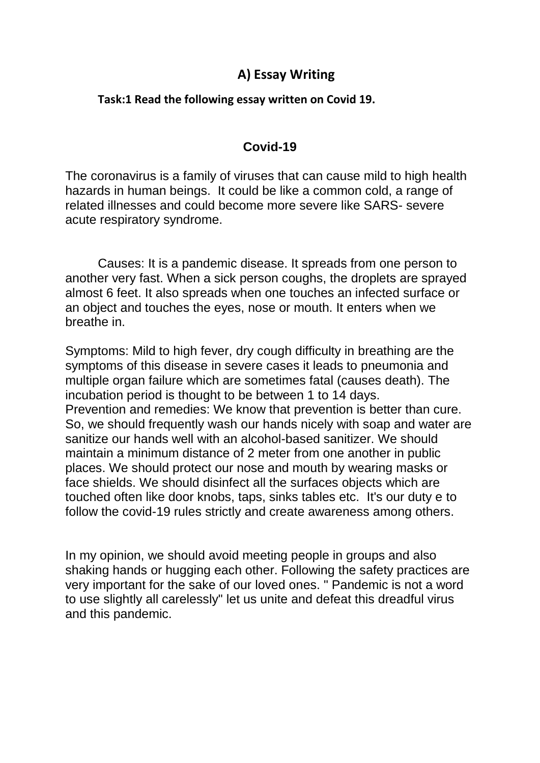# **A) Essay Writing**

### **Task:1 Read the following essay written on Covid 19.**

## **Covid-19**

The coronavirus is a family of viruses that can cause mild to high health hazards in human beings. It could be like a common cold, a range of related illnesses and could become more severe like SARS- severe acute respiratory syndrome.

Causes: It is a pandemic disease. It spreads from one person to another very fast. When a sick person coughs, the droplets are sprayed almost 6 feet. It also spreads when one touches an infected surface or an object and touches the eyes, nose or mouth. It enters when we breathe in.

Symptoms: Mild to high fever, dry cough difficulty in breathing are the symptoms of this disease in severe cases it leads to pneumonia and multiple organ failure which are sometimes fatal (causes death). The incubation period is thought to be between 1 to 14 days. Prevention and remedies: We know that prevention is better than cure. So, we should frequently wash our hands nicely with soap and water are sanitize our hands well with an alcohol-based sanitizer. We should maintain a minimum distance of 2 meter from one another in public places. We should protect our nose and mouth by wearing masks or face shields. We should disinfect all the surfaces objects which are touched often like door knobs, taps, sinks tables etc. It's our duty e to follow the covid-19 rules strictly and create awareness among others.

In my opinion, we should avoid meeting people in groups and also shaking hands or hugging each other. Following the safety practices are very important for the sake of our loved ones. " Pandemic is not a word to use slightly all carelessly" let us unite and defeat this dreadful virus and this pandemic.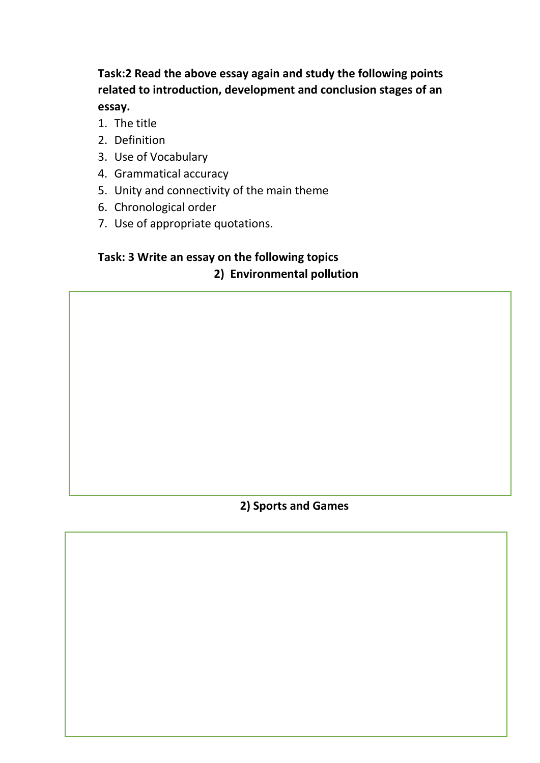**Task:2 Read the above essay again and study the following points related to introduction, development and conclusion stages of an essay.**

- 1. The title
- 2. Definition
- 3. Use of Vocabulary
- 4. Grammatical accuracy
- 5. Unity and connectivity of the main theme
- 6. Chronological order
- 7. Use of appropriate quotations.

# **Task: 3 Write an essay on the following topics 2) Environmental pollution**

### **2) Sports and Games**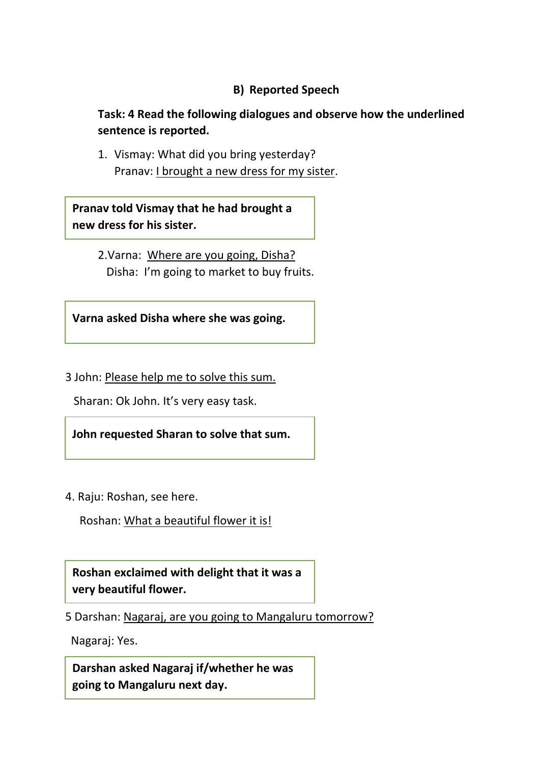## **B) Reported Speech**

**Task: 4 Read the following dialogues and observe how the underlined sentence is reported.**

1. Vismay: What did you bring yesterday? Pranav: I brought a new dress for my sister.

**Pranav told Vismay that he had brought a new dress for his sister.** 

> 2.Varna: Where are you going, Disha? Disha: I'm going to market to buy fruits.

**Varna asked Disha where she was going.**

3 John: Please help me to solve this sum.

Sharan: Ok John. It's very easy task.

**John requested Sharan to solve that sum.**

4. Raju: Roshan, see here.

Roshan: What a beautiful flower it is!

**Roshan exclaimed with delight that it was a very beautiful flower.**

5 Darshan: Nagaraj, are you going to Mangaluru tomorrow?

Nagaraj: Yes.

**Darshan asked Nagaraj if/whether he was going to Mangaluru next day.**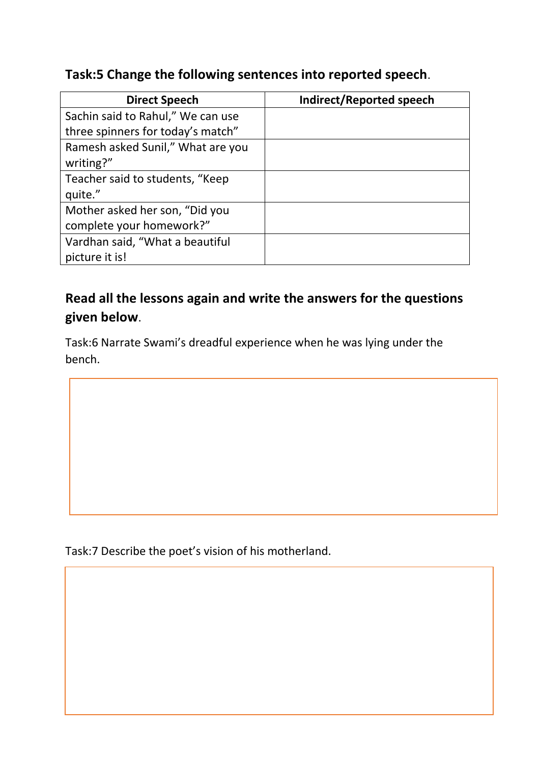# **Task:5 Change the following sentences into reported speech**.

| <b>Direct Speech</b>                                       | Indirect/Reported speech |
|------------------------------------------------------------|--------------------------|
| Sachin said to Rahul," We can use                          |                          |
| three spinners for today's match"                          |                          |
| Ramesh asked Sunil," What are you<br>writing?"             |                          |
| Teacher said to students, "Keep<br>quite."                 |                          |
| Mother asked her son, "Did you<br>complete your homework?" |                          |
| Vardhan said, "What a beautiful<br>picture it is!          |                          |

# **Read all the lessons again and write the answers for the questions given below**.

Task:6 Narrate Swami's dreadful experience when he was lying under the bench.

Task:7 Describe the poet's vision of his motherland.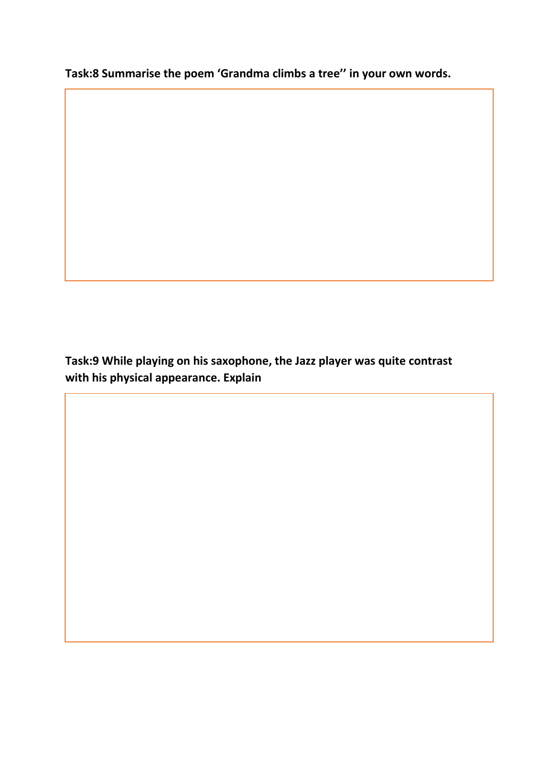**Task:8 Summarise the poem 'Grandma climbs a tree'' in your own words.** 

**Task:9 While playing on his saxophone, the Jazz player was quite contrast with his physical appearance. Explain**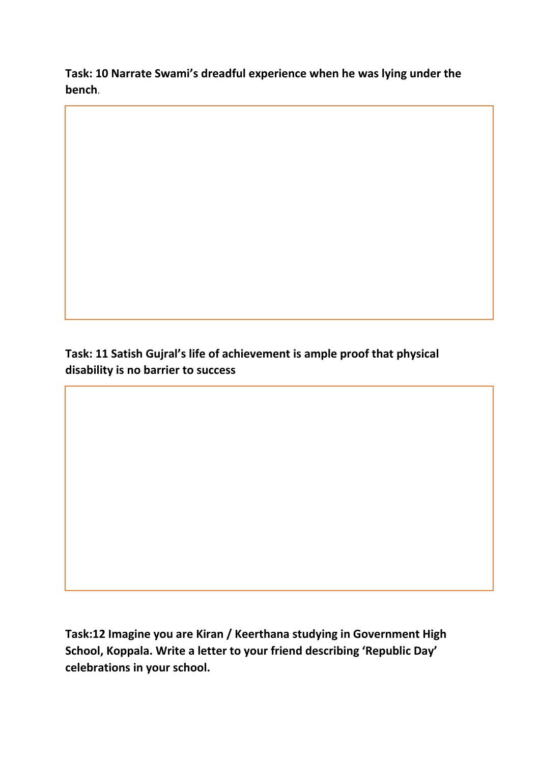**Task: 10 Narrate Swami's dreadful experience when he was lying under the bench**.

**Task: 11 Satish Gujral's life of achievement is ample proof that physical disability is no barrier to success**

**Task:12 Imagine you are Kiran / Keerthana studying in Government High School, Koppala. Write a letter to your friend describing 'Republic Day' celebrations in your school.**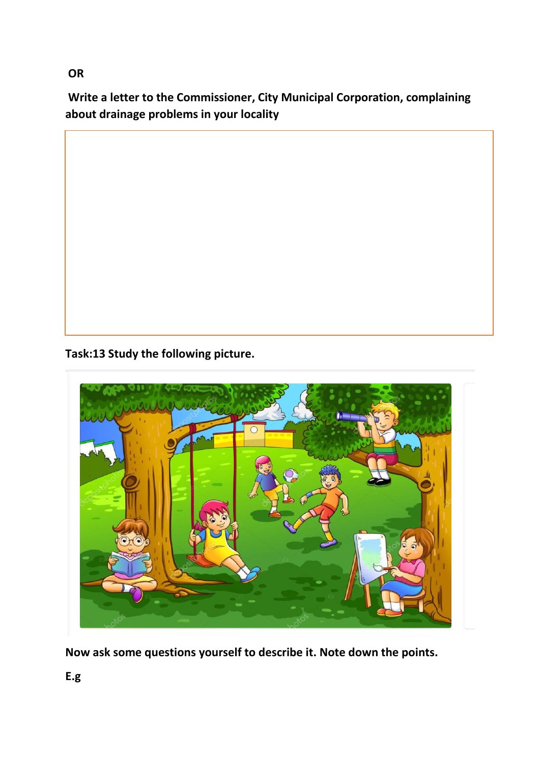**OR**

**Write a letter to the Commissioner, City Municipal Corporation, complaining about drainage problems in your locality**

**Task:13 Study the following picture.**



**Now ask some questions yourself to describe it. Note down the points.**

**E.g**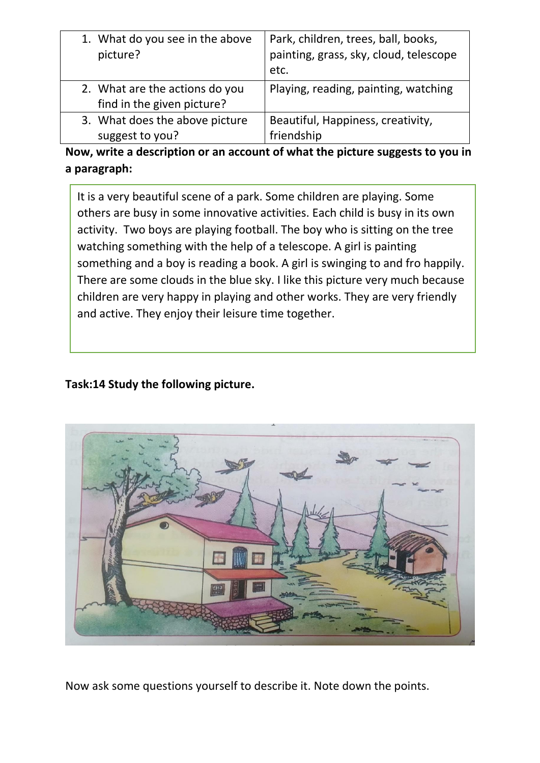| 1. What do you see in the above<br>picture? | Park, children, trees, ball, books,<br>painting, grass, sky, cloud, telescope<br>etc. |
|---------------------------------------------|---------------------------------------------------------------------------------------|
| 2. What are the actions do you              | Playing, reading, painting, watching                                                  |
| find in the given picture?                  |                                                                                       |
| 3. What does the above picture              | Beautiful, Happiness, creativity,                                                     |
| suggest to you?                             | friendship                                                                            |

**Now, write a description or an account of what the picture suggests to you in a paragraph:**

It is a very beautiful scene of a park. Some children are playing. Some others are busy in some innovative activities. Each child is busy in its own activity. Two boys are playing football. The boy who is sitting on the tree watching something with the help of a telescope. A girl is painting something and a boy is reading a book. A girl is swinging to and fro happily. There are some clouds in the blue sky. I like this picture very much because children are very happy in playing and other works. They are very friendly and active. They enjoy their leisure time together.

# **Task:14 Study the following picture.**



Now ask some questions yourself to describe it. Note down the points.